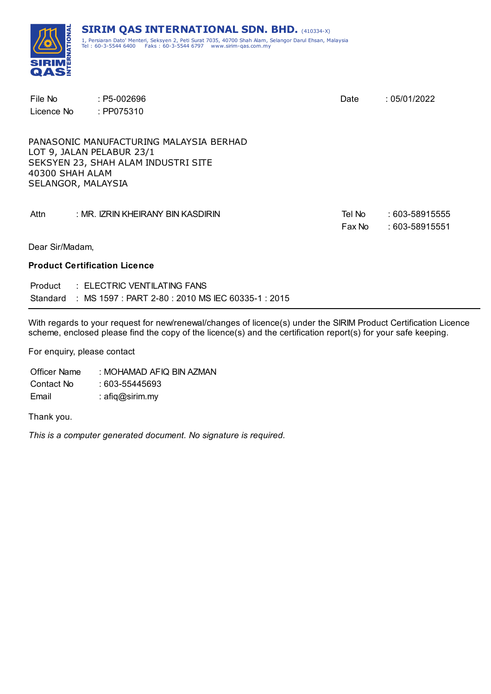

| File No<br>Licence No                 | $: P5-002696$<br>: PP075310                                                                                 | Date             | :05/01/2022                         |
|---------------------------------------|-------------------------------------------------------------------------------------------------------------|------------------|-------------------------------------|
| 40300 SHAH ALAM<br>SELANGOR, MALAYSIA | PANASONIC MANUFACTURING MALAYSIA BERHAD<br>LOT 9, JALAN PELABUR 23/1<br>SEKSYEN 23, SHAH ALAM INDUSTRI SITE |                  |                                     |
| Attn                                  | : MR. IZRIN KHEIRANY BIN KASDIRIN                                                                           | Tel No<br>Fax No | $:603 - 58915555$<br>: 603-58915551 |
| Dear Sir/Madam,                       |                                                                                                             |                  |                                     |
|                                       | <b>Product Certification Licence</b>                                                                        |                  |                                     |
|                                       | Product : ELECTRIC VENTILATING FANS                                                                         |                  |                                     |

With regards to your request for new/renewal/changes of licence(s) under the SIRIM Product Certification Licence scheme, enclosed please find the copy of the licence(s) and the certification report(s) for your safe keeping.

For enquiry, please contact

Officer Name : MOHAMAD AFIQ BIN AZMAN Contact No : 603-55445693 Email : afiq@sirim.my

Thank you.

*This is a computer generated document. No signature is required.*

Standard : MS 1597 : PART 2-80 : 2010 MS IEC 60335-1 : 2015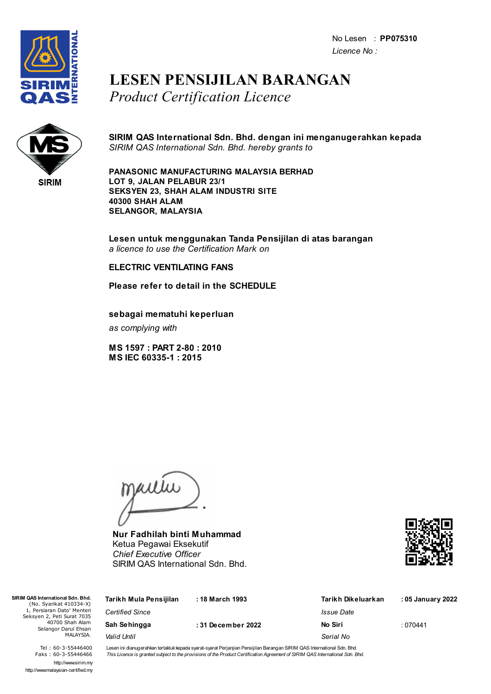No Lesen : **PP075310** *Licence No :*



### **LESEN PENSIJILAN BARANGAN** *Product Certification Licence*



**SIRIM QAS International Sdn. Bhd. dengan ini menganugerahkan kepada** *SIRIM QAS International Sdn. Bhd. hereby grants to*

**PANASONIC MANUFACTURING MALAYSIA BERHAD LOT 9, JALAN PELABUR 23/1 SEKSYEN 23, SHAH ALAM INDUSTRI SITE 40300 SHAH ALAM SELANGOR, MALAYSIA**

**Lesen untuk menggunakan Tanda Pensijilan di atas barangan** *a licence to use the Certification Mark on*

#### **ELECTRIC VENTILATING FANS**

**Please refer to detail in the SCHEDULE**

**sebagai mematuhi keperluan**

*as complying with*

**MS 1597 : PART 2-80 : 2010 MS IEC 60335-1 : 2015**

jailie

**Nur Fadhilah binti Muhammad** Ketua Pegawai Eksekutif *Chief Executive Officer* SIRIM QAS International Sdn. Bhd.



| SIRIM QAS International Sdn. Bhd.<br>(No. Syarikat 410334-X) | Tarikh Mula Pensijilan | : 18 March 1993   | Tarikh Dikeluarkan | : 05 January 2022 |
|--------------------------------------------------------------|------------------------|-------------------|--------------------|-------------------|
| 1, Persiaran Dato' Menteri<br>Seksyen 2, Peti Surat 7035     | <b>Certified Since</b> |                   | Issue Date         |                   |
| 40700 Shah Alam<br>Selangor Darul Ehsan                      | Sah Sehingga           | :31 December 2022 | No Siri            | :070441           |
| MALAYSIA.                                                    | Valid Until            |                   | Serial No          |                   |
|                                                              |                        |                   |                    |                   |

Tel : 60-3-55446400 Faks : 60-3-55446466 http://www.sirim.my http://www.malaysian-certified.my Lesen ini dianugerahkan tertakluk kepada syarat-syarat Perjanjian Pensijilan Barangan SIRIM QAS International Sdn. Bhd. This Licence is granted subject to the provisions of the Product Certification Agreement of SIRIM QAS International Sdn. Bhd.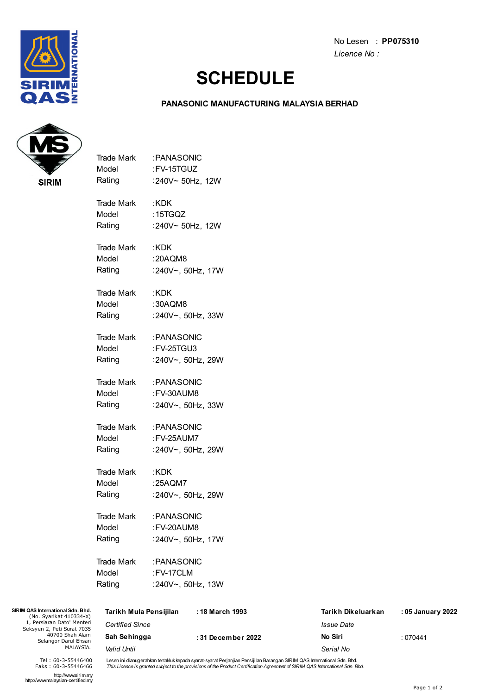

No Lesen : **PP075310** *Licence No :*

## **SCHEDULE**

#### **PANASONIC MANUFACTURING MALAYSIA BERHAD**



| <b>Trade Mark</b> | :PANASONIC              |
|-------------------|-------------------------|
| Model             | :FV-15TGUZ              |
| Rating            | :240V~ 50Hz, 12W        |
| Trade Mark        | : KDK                   |
| Model             | : 15TGQZ                |
|                   | Rating :240V~ 50Hz, 12W |
| Trade Mark        | :KDK                    |
| Model             | : 20AQM8                |
| Rating            | :240V~, 50Hz, 17W       |
| Trade Mark        | : KDK                   |
| Model             | :30AQM8                 |
| Rating            | :240V~, 50Hz, 33W       |
|                   | Trade Mark : PANASONIC  |
| Model             | : FV-25TGU3             |
| Rating            | :240V~, 50Hz, 29W       |
|                   | Trade Mark : PANASONIC  |
| Model             | : FV-30AUM8             |
| Rating            | :240V~, 50Hz, 33W       |
|                   | Trade Mark : PANASONIC  |
| Model             | : FV-25AUM7             |
| Rating            | :240V~, 50Hz, 29W       |
| Trade Mark        | : KDK                   |
| Model             | :25AQM7                 |
| Rating            | :240V~, 50Hz, 29W       |
| <b>Trade Mark</b> | :PANASONIC              |
| Model             | :FV-20AUM8              |
| Rating            | :240V~, 50Hz, 17W       |
| <b>Trade Mark</b> | : PANASONIC             |
| Model             | :FV-17CLM               |
| Rating            | :240V~, 50Hz, 13W       |
|                   |                         |

| SIRIM QAS International Sdn. Bhd.<br>(No. Syarikat 410334-X)<br>1, Persiaran Dato' Menteri<br>Seksyen 2, Peti Surat 7035<br>40700 Shah Alam<br>Selangor Darul Ehsan<br>MALAYSIA. | Tarikh Mula Pensijilan | : 18 March 1993   | Tarikh Dikeluarkan       | : 05 January 2022 |
|----------------------------------------------------------------------------------------------------------------------------------------------------------------------------------|------------------------|-------------------|--------------------------|-------------------|
|                                                                                                                                                                                  | <b>Certified Since</b> |                   | <i><b>Issue Date</b></i> |                   |
|                                                                                                                                                                                  | Sah Sehingga           | :31 December 2022 | No Siri                  | : 070441          |
|                                                                                                                                                                                  | Valid Until            |                   | Serial No                |                   |

Lesen ini dianugerahkan tertakluk kepada syarat-syarat Perjanjian Pensijilan Barangan SIRIM QAS International Sdn. Bhd.<br>*This Licence is granted subject to the provisions of the Product Certification Agreement of SIRIM QAS* 

http://www.sirim.my http://www.malaysian-certified.my

Tel : 60-3-55446400 Faks : 60-3-55446466